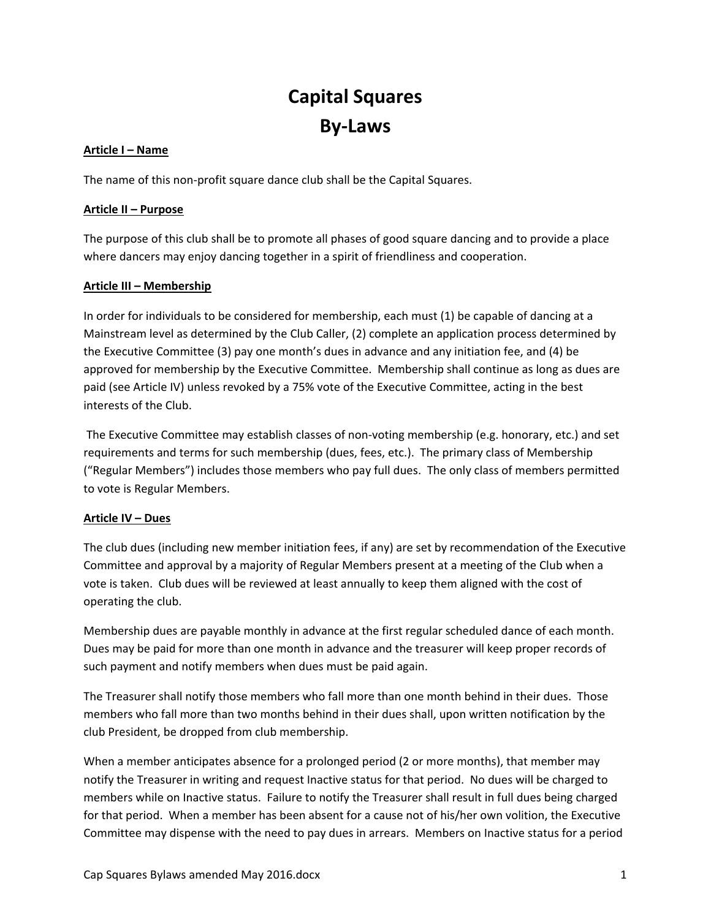# **Capital Squares By‐Laws**

## **Article I – Name**

The name of this non‐profit square dance club shall be the Capital Squares.

## **Article II – Purpose**

The purpose of this club shall be to promote all phases of good square dancing and to provide a place where dancers may enjoy dancing together in a spirit of friendliness and cooperation.

# **Article III – Membership**

In order for individuals to be considered for membership, each must (1) be capable of dancing at a Mainstream level as determined by the Club Caller, (2) complete an application process determined by the Executive Committee (3) pay one month's dues in advance and any initiation fee, and (4) be approved for membership by the Executive Committee. Membership shall continue as long as dues are paid (see Article IV) unless revoked by a 75% vote of the Executive Committee, acting in the best interests of the Club.

The Executive Committee may establish classes of non‐voting membership (e.g. honorary, etc.) and set requirements and terms for such membership (dues, fees, etc.). The primary class of Membership ("Regular Members") includes those members who pay full dues. The only class of members permitted to vote is Regular Members.

## **Article IV – Dues**

The club dues (including new member initiation fees, if any) are set by recommendation of the Executive Committee and approval by a majority of Regular Members present at a meeting of the Club when a vote is taken. Club dues will be reviewed at least annually to keep them aligned with the cost of operating the club.

Membership dues are payable monthly in advance at the first regular scheduled dance of each month. Dues may be paid for more than one month in advance and the treasurer will keep proper records of such payment and notify members when dues must be paid again.

The Treasurer shall notify those members who fall more than one month behind in their dues. Those members who fall more than two months behind in their dues shall, upon written notification by the club President, be dropped from club membership.

When a member anticipates absence for a prolonged period (2 or more months), that member may notify the Treasurer in writing and request Inactive status for that period. No dues will be charged to members while on Inactive status. Failure to notify the Treasurer shall result in full dues being charged for that period. When a member has been absent for a cause not of his/her own volition, the Executive Committee may dispense with the need to pay dues in arrears. Members on Inactive status for a period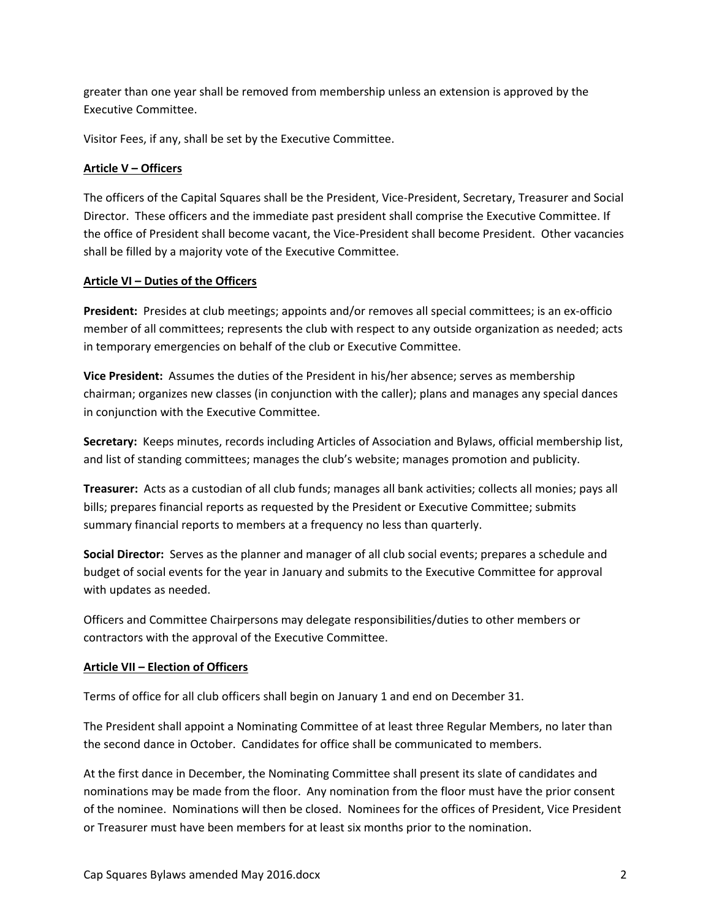greater than one year shall be removed from membership unless an extension is approved by the Executive Committee.

Visitor Fees, if any, shall be set by the Executive Committee.

# **Article V – Officers**

The officers of the Capital Squares shall be the President, Vice‐President, Secretary, Treasurer and Social Director. These officers and the immediate past president shall comprise the Executive Committee. If the office of President shall become vacant, the Vice‐President shall become President. Other vacancies shall be filled by a majority vote of the Executive Committee.

# **Article VI – Duties of the Officers**

**President:** Presides at club meetings; appoints and/or removes all special committees; is an ex-officio member of all committees; represents the club with respect to any outside organization as needed; acts in temporary emergencies on behalf of the club or Executive Committee.

**Vice President:** Assumes the duties of the President in his/her absence; serves as membership chairman; organizes new classes (in conjunction with the caller); plans and manages any special dances in conjunction with the Executive Committee.

**Secretary:** Keeps minutes, records including Articles of Association and Bylaws, official membership list, and list of standing committees; manages the club's website; manages promotion and publicity.

**Treasurer:** Acts as a custodian of all club funds; manages all bank activities; collects all monies; pays all bills; prepares financial reports as requested by the President or Executive Committee; submits summary financial reports to members at a frequency no less than quarterly.

**Social Director:** Serves as the planner and manager of all club social events; prepares a schedule and budget of social events for the year in January and submits to the Executive Committee for approval with updates as needed.

Officers and Committee Chairpersons may delegate responsibilities/duties to other members or contractors with the approval of the Executive Committee.

# **Article VII – Election of Officers**

Terms of office for all club officers shall begin on January 1 and end on December 31.

The President shall appoint a Nominating Committee of at least three Regular Members, no later than the second dance in October. Candidates for office shall be communicated to members.

At the first dance in December, the Nominating Committee shall present its slate of candidates and nominations may be made from the floor. Any nomination from the floor must have the prior consent of the nominee. Nominations will then be closed. Nominees for the offices of President, Vice President or Treasurer must have been members for at least six months prior to the nomination.